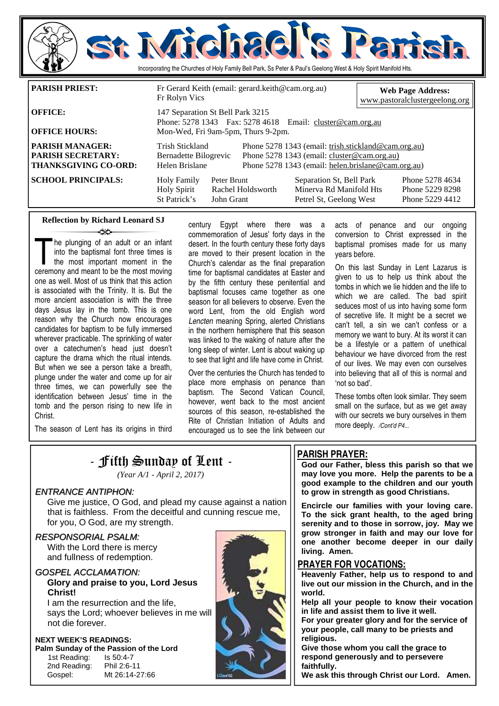

| <b>OFFICE HOURS:</b>                                                              | THONC, $JZ/O$ $IJ + J$ T ax, $JZ/O$ +010 Eliman. Clusici weally grad<br>Mon-Wed, Fri 9am-5pm, Thurs 9-2pm. |                           |                                                                                                                                                          |                                                                                |                                                       |  |
|-----------------------------------------------------------------------------------|------------------------------------------------------------------------------------------------------------|---------------------------|----------------------------------------------------------------------------------------------------------------------------------------------------------|--------------------------------------------------------------------------------|-------------------------------------------------------|--|
| <b>PARISH MANAGER:</b><br><b>PARISH SECRETARY:</b><br><b>THANKSGIVING CO-ORD:</b> | Trish Stickland<br>Bernadette Bilogrevic<br>Helen Brislane                                                 |                           | Phone 5278 1343 (email: trish.stickland@cam.org.au)<br>Phone 5278 1343 (email: cluster@cam.org.au)<br>Phone 5278 1343 (email: helen.brislane@cam.org.au) |                                                                                |                                                       |  |
| <b>SCHOOL PRINCIPALS:</b>                                                         | <b>Holy Family</b><br><b>Holy Spirit</b><br>St Patrick's                                                   | Peter Brunt<br>John Grant | Rachel Holdsworth                                                                                                                                        | Separation St, Bell Park<br>Minerva Rd Manifold Hts<br>Petrel St, Geelong West | Phone 5278 4634<br>Phone 5229 8298<br>Phone 5229 4412 |  |

### **Reflection by Richard Leonard SJ**  ينهد

The plunging of an adult or an infant<br>into the baptismal font three times is<br>the most important moment in the<br>ceremony and meant to be the most moving into the baptismal font three times is the most important moment in the ceremony and meant to be the most moving one as well. Most of us think that this action is associated with the Trinity. It is. But the more ancient association is with the three days Jesus lay in the tomb. This is one reason why the Church now encourages candidates for baptism to be fully immersed wherever practicable. The sprinkling of water over a catechumen's head just doesn't capture the drama which the ritual intends. But when we see a person take a breath, plunge under the water and come up for air three times, we can powerfully see the identification between Jesus' time in the tomb and the person rising to new life in Christ.

commemoration of Jesus' forty days in the desert. In the fourth century these forty days are moved to their present location in the Church's calendar as the final preparation time for baptismal candidates at Easter and by the fifth century these penitential and baptismal focuses came together as one season for all believers to observe. Even the word Lent, from the old English word *Lencten* meaning Spring, alerted Christians in the northern hemisphere that this season was linked to the waking of nature after the long sleep of winter. Lent is about waking up to see that light and life have come in Christ.

century Egypt where there was a

Over the centuries the Church has tended to place more emphasis on penance than baptism. The Second Vatican Council, however, went back to the most ancient sources of this season, re-established the Rite of Christian Initiation of Adults and encouraged us to see the link between our

acts of penance and our ongoing conversion to Christ expressed in the baptismal promises made for us many years before.

On this last Sunday in Lent Lazarus is given to us to help us think about the tombs in which we lie hidden and the life to which we are called. The bad spirit seduces most of us into having some form of secretive life. It might be a secret we can't tell, a sin we can't confess or a memory we want to bury. At its worst it can be a lifestyle or a pattern of unethical behaviour we have divorced from the rest of our lives. We may even con ourselves into believing that all of this is normal and 'not so bad'.

These tombs often look similar. They seem small on the surface, but as we get away with our secrets we bury ourselves in them more deeply. */Cont'd P4...* 

The season of Lent has its origins in third

 $-$  Fifth Sunday of Lent  $-$ 

*(Year A/1 - April 2, 2017)* 

### ENTRANCE ANTIPHON:

 Give me justice, O God, and plead my cause against a nation that is faithless. From the deceitful and cunning rescue me, for you, O God, are my strength.

### RESPONSORIAL PSALM:

 With the Lord there is mercy and fullness of redemption.

### GOSPEL ACCLAMATION: **Glory and praise to you, Lord Jesus Christ!**

I am the resurrection and the life, says the Lord; whoever believes in me will not die forever.

## **NEXT WEEK'S READINGS: Palm Sunday of the Passion of the Lord**<br>1st Reading: **b** Is 50:4-7

1st Reading: 2nd Reading: Phil 2:6-11 Gospel: Mt 26:14-27:66



### **PARISH PRAYER:**

**God our Father, bless this parish so that we may love you more. Help the parents to be a good example to the children and our youth to grow in strength as good Christians.** 

**Encircle our families with your loving care. To the sick grant health, to the aged bring serenity and to those in sorrow, joy. May we grow stronger in faith and may our love for one another become deeper in our daily living. Amen.** 

### **PRAYER FOR VOCATIONS:**

**Heavenly Father, help us to respond to and live out our mission in the Church, and in the world.** 

**Help all your people to know their vocation in life and assist them to live it well.** 

**For your greater glory and for the service of your people, call many to be priests and religious.** 

**Give those whom you call the grace to respond generously and to persevere faithfully.** 

**We ask this through Christ our Lord. Amen.**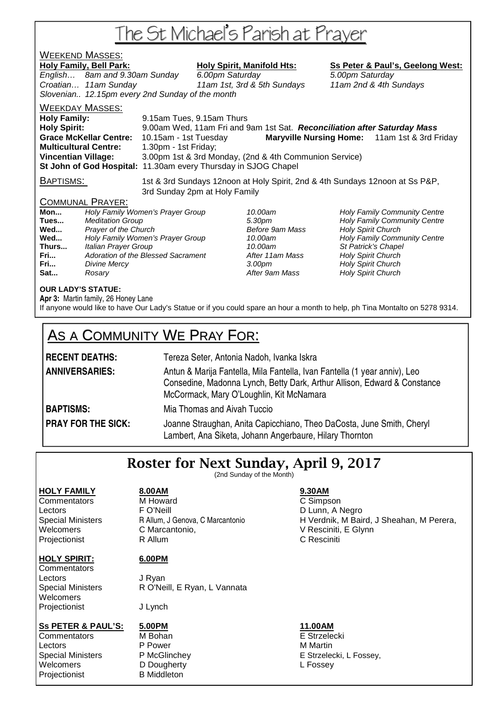# The St Michael's Parish at Prayer

# **WEEKEND MASSES:**<br>Holy Family, Bell Park:

English… 8am and 9.30am Sunday 6.00pm Saturday 5.00pm Saturday Croatian… 11am Sunday 11am 1st, 3rd & 5th Sundays 11am 2nd & 4th Sundays Slovenian.. 12.15pm every 2nd Sunday of the month

Holy Spirit, Manifold Hts: Ss Peter & Paul's, Geelong West:

WEEKDAY MASSES:

**Holy Family:** 9.15am Tues, 9.15am Thurs **Holy Spirit:** 9.00am Wed, 11am Fri and 9am 1st Sat. **Reconciliation after Saturday Mass Grace McKellar Centre:** 10.15am - 1st Tuesday **Maryville Nursing Home:** 11am 1st & 3rd Friday **Multicultural Centre:** 1.30pm - 1st Friday; **Vincentian Village:** 3.00pm 1st & 3rd Monday, (2nd & 4th Communion Service) **St John of God Hospital:** 11.30am every Thursday in SJOG Chapel

BAPTISMS: 1st & 3rd Sundays 12noon at Holy Spirit, 2nd & 4th Sundays 12noon at Ss P&P, 3rd Sunday 2pm at Holy Family

### COMMUNAL PRAYER:

| Mon   | Holy Family Women's Prayer Group   |
|-------|------------------------------------|
| Tues  | <b>Meditation Group</b>            |
| Wed   | Prayer of the Church               |
| Wed   | Holy Family Women's Prayer Group   |
| Thurs | Italian Prayer Group               |
| Fri   | Adoration of the Blessed Sacrament |
| Fri   | Divine Mercy                       |
| Sat   | Rosary                             |

After 11am Mass **Holy Spirit Church Franch 3.00pm** Holy Spirit Church After 9am Mass **Holy Spirit Church** 

10.00am **Holy Family Community Centre** 5.30pm **Tues... Holy Family Community Centre**<br>**Tues... Before 9am Mass Change Holy Spirit Church Holy Spirit Church** 10.00am **Holy Family Community Centre** 10.00am St Patrick's Chapel

### **OUR LADY'S STATUE:**

**Apr 3:** Martin family, 26 Honey Lane If anyone would like to have Our Lady's Statue or if you could spare an hour a month to help, ph Tina Montalto on 5278 9314.

## AS A COMMUNITY WE PRAY FOR:

| <b>RECENT DEATHS:</b> | Tereza Seter, Antonia Nadoh, Ivanka Iskra                                                                                                                                                         |  |  |
|-----------------------|---------------------------------------------------------------------------------------------------------------------------------------------------------------------------------------------------|--|--|
| <b>ANNIVERSARIES:</b> | Antun & Marija Fantella, Mila Fantella, Ivan Fantella (1 year anniv), Leo<br>Consedine, Madonna Lynch, Betty Dark, Arthur Allison, Edward & Constance<br>McCormack, Mary O'Loughlin, Kit McNamara |  |  |
| <b>BAPTISMS:</b>      | Mia Thomas and Aivah Tuccio                                                                                                                                                                       |  |  |
| DOAV COD THE CICK.    | Joanna Straughan, Anita Capicchiano, Theo DaCosta, Juno Smith, Chand                                                                                                                              |  |  |

**PRAY FOR THE SICK:** Joanne Straughan, Anita Capicchiano, Theo DaCosta, June Smith, Cheryl Lambert, Ana Siketa, Johann Angerbaure, Hilary Thornton

## Roster for Next Sunday, April 9, 2017

(2nd Sunday of the Month)

### **HOLY FAMILY 8.00AM 9.30AM**

Commentators M Howard C Simpson

Lectors F O'Neill D Lunn, A Negro Projectionist R Allum C Resciniti

### **HOLY SPIRIT: 6.00PM**

**Commentators** Lectors J Ryan **Welcomers** Projectionist J Lynch

### **Ss PETER & PAUL'S: 5.00PM 11.00AM**

Commentators M Bohan E Strzelecki Lectors P Power M Martin Welcomers DD Dougherty DO Dougherty L Fossey<br>
Proiectionist B Middleton Projectionist

Special Ministers R O'Neill, E Ryan, L Vannata

- -

Special Ministers Rallum, J Genova, C Marcantonio Burnett H Verdnik, M Baird, J Sheahan, M Perera, Welcomers C Marcantonio. V Resciniti, E Glynn

E Strzelecki, L Fossey,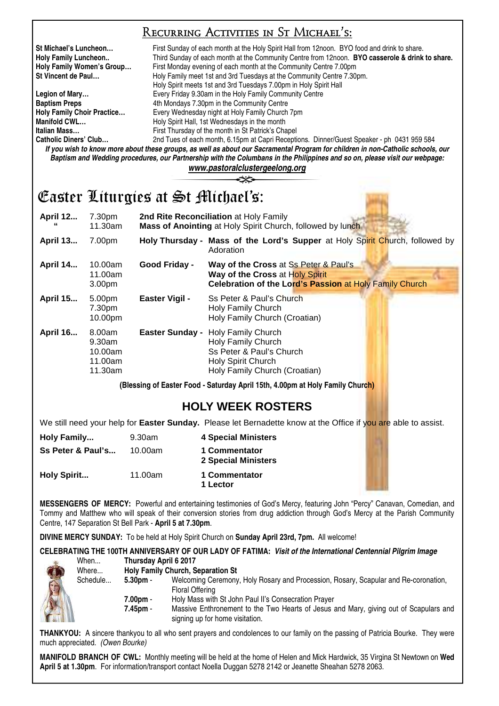## Recurring Activities in St Michael's:

**St Michael's Luncheon…** First Sunday of each month at the Holy Spirit Hall from 12noon. BYO food and drink to share. **Holy Family Luncheon..** Third Sunday of each month at the Community Centre from 12noon. **BYO casserole & drink to share. Holy Family Women's Group…** First Monday evening of each month at the Community Centre 7.00pm **St Vincent de Paul... Holy Family meet 1st and 3rd Tuesdays at the Community Centre 7.30pm.** 

 Holy Spirit meets 1st and 3rd Tuesdays 7.00pm in Holy Spirit Hall **Legion of Mary…** Every Friday 9.30am in the Holy Family Community Centre **Baptism Preps 4th Mondays 7.30pm in the Community Centre Holy Family Choir Practice…** Every Wednesday night at Holy Family Church 7pm **Manifold CWL... Holy Spirit Hall, 1st Wednesdays in the month Italian Mass…** First Thursday of the month in St Patrick's Chapel 2nd Tues of each month, 6.15pm at Capri Receptions. Dinner/Guest Speaker - ph 0431 959 584 *If you wish to know more about these groups, as well as about our Sacramental Program for children in non-Catholic schools, our* 

*Baptism and Wedding procedures, our Partnership with the Columbans in the Philippines and so on, please visit our webpage: www.pastoralclustergeelong.org*

## Easter Liturgies at St Michael's:

| <b>April 12</b> | 7.30pm<br>11.30am                                 |                        | 2nd Rite Reconciliation at Holy Family<br>Mass of Anointing at Holy Spirit Church, followed by lunch                                |
|-----------------|---------------------------------------------------|------------------------|-------------------------------------------------------------------------------------------------------------------------------------|
| <b>April 13</b> | 7.00pm                                            |                        | Holy Thursday - Mass of the Lord's Supper at Holy Spirit Church, followed by<br>Adoration                                           |
| <b>April 14</b> | 10.00am<br>11.00am<br>3.00pm                      | Good Friday -          | Way of the Cross at Ss Peter & Paul's<br>Way of the Cross at Holy Spirit<br>Celebration of the Lord's Passion at Holy Family Church |
| <b>April 15</b> | 5.00pm<br>7.30pm<br>10.00pm                       | <b>Easter Vigil -</b>  | Ss Peter & Paul's Church<br>Holy Family Church<br>Holy Family Church (Croatian)                                                     |
| <b>April 16</b> | 8.00am<br>9.30am<br>10.00am<br>11.00am<br>11.30am | <b>Easter Sunday -</b> | <b>Holy Family Church</b><br>Holy Family Church<br>Ss Peter & Paul's Church<br>Holy Spirit Church<br>Holy Family Church (Croatian)  |

**(Blessing of Easter Food - Saturday April 15th, 4.00pm at Holy Family Church)** 

## **HOLY WEEK ROSTERS**

We still need your help for **Easter Sunday.** Please let Bernadette know at the Office if you are able to assist.

| Holy Family        | 9.30am  | <b>4 Special Ministers</b>           |
|--------------------|---------|--------------------------------------|
| Ss Peter & Paul's  | 10.00am | 1 Commentator<br>2 Special Ministers |
| <b>Holy Spirit</b> | 11.00am | 1 Commentator<br>1 Lector            |

**MESSENGERS OF MERCY:** Powerful and entertaining testimonies of God's Mercy, featuring John "Percy" Canavan, Comedian, and Tommy and Matthew who will speak of their conversion stories from drug addiction through God's Mercy at the Parish Community Centre, 147 Separation St Bell Park - **April 5 at 7.30pm**.

**DIVINE MERCY SUNDAY:** To be held at Holy Spirit Church on **Sunday April 23rd, 7pm.** All welcome!

**CELEBRATING THE 100TH ANNIVERSARY OF OUR LADY OF FATIMA:** *Visit of the International Centennial Pilgrim Image* **Thursday April 6 2017** 

| Where    |      |
|----------|------|
| Schedule |      |
|          |      |
|          |      |
|          |      |
|          |      |
|          | When |

| Where    |            | <b>Holy Family Church, Separation St.</b>                                             |
|----------|------------|---------------------------------------------------------------------------------------|
| Schedule | $5.30pm$ . | Welcoming Ceremony, Holy Rosary and Procession, Rosary, Scapular and Re-coronation,   |
|          |            | Floral Offering                                                                       |
|          | 7.00pm -   | Holy Mass with St John Paul II's Consecration Prayer                                  |
|          | 7.45pm -   | Massive Enthronement to the Two Hearts of Jesus and Mary, giving out of Scapulars and |

signing up for home visitation.

**THANKYOU:** A sincere thankyou to all who sent prayers and condolences to our family on the passing of Patricia Bourke. They were much appreciated. *(Owen Bourke)* 

**MANIFOLD BRANCH OF CWL:** Monthly meeting will be held at the home of Helen and Mick Hardwick, 35 Virgina St Newtown on **Wed April 5 at 1.30pm**. For information/transport contact Noella Duggan 5278 2142 or Jeanette Sheahan 5278 2063.